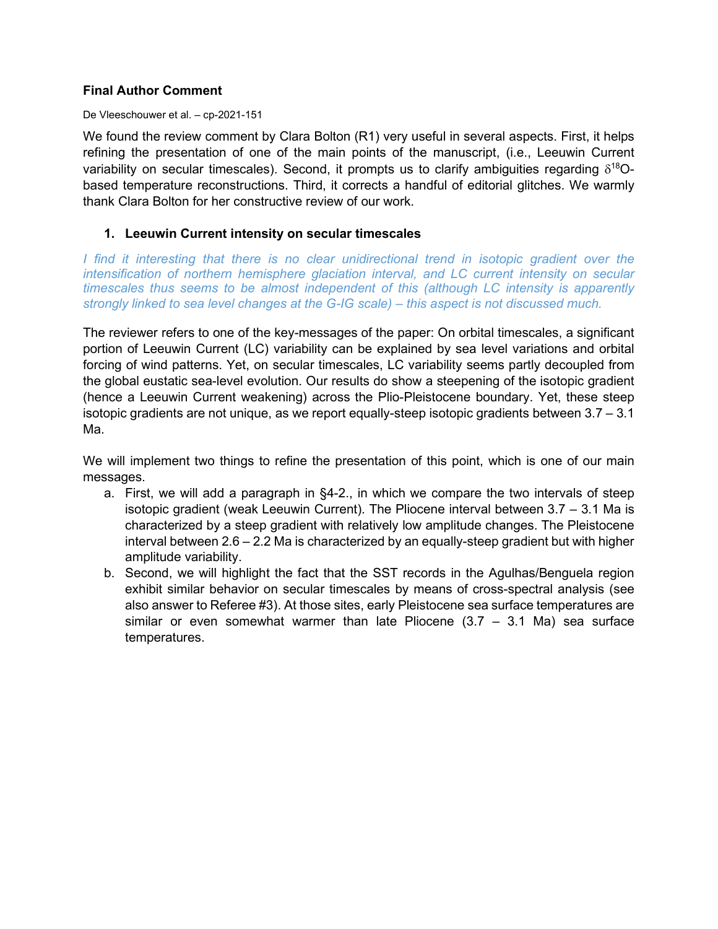# **Final Author Comment**

#### De Vleeschouwer et al. – cp-2021-151

We found the review comment by Clara Bolton (R1) very useful in several aspects. First, it helps refining the presentation of one of the main points of the manuscript, (i.e., Leeuwin Current variability on secular timescales). Second, it prompts us to clarify ambiguities regarding  $\delta^{18}O$ based temperature reconstructions. Third, it corrects a handful of editorial glitches. We warmly thank Clara Bolton for her constructive review of our work.

# **1. Leeuwin Current intensity on secular timescales**

*I* find it interesting that there is no clear unidirectional trend in isotopic gradient over the *intensification of northern hemisphere glaciation interval, and LC current intensity on secular timescales thus seems to be almost independent of this (although LC intensity is apparently strongly linked to sea level changes at the G-IG scale) – this aspect is not discussed much.*

The reviewer refers to one of the key-messages of the paper: On orbital timescales, a significant portion of Leeuwin Current (LC) variability can be explained by sea level variations and orbital forcing of wind patterns. Yet, on secular timescales, LC variability seems partly decoupled from the global eustatic sea-level evolution. Our results do show a steepening of the isotopic gradient (hence a Leeuwin Current weakening) across the Plio-Pleistocene boundary. Yet, these steep isotopic gradients are not unique, as we report equally-steep isotopic gradients between 3.7 – 3.1 Ma.

We will implement two things to refine the presentation of this point, which is one of our main messages.

- a. First, we will add a paragraph in §4-2., in which we compare the two intervals of steep isotopic gradient (weak Leeuwin Current). The Pliocene interval between 3.7 – 3.1 Ma is characterized by a steep gradient with relatively low amplitude changes. The Pleistocene interval between 2.6 – 2.2 Ma is characterized by an equally-steep gradient but with higher amplitude variability.
- b. Second, we will highlight the fact that the SST records in the Agulhas/Benguela region exhibit similar behavior on secular timescales by means of cross-spectral analysis (see also answer to Referee #3). At those sites, early Pleistocene sea surface temperatures are similar or even somewhat warmer than late Pliocene  $(3.7 - 3.1$  Ma) sea surface temperatures.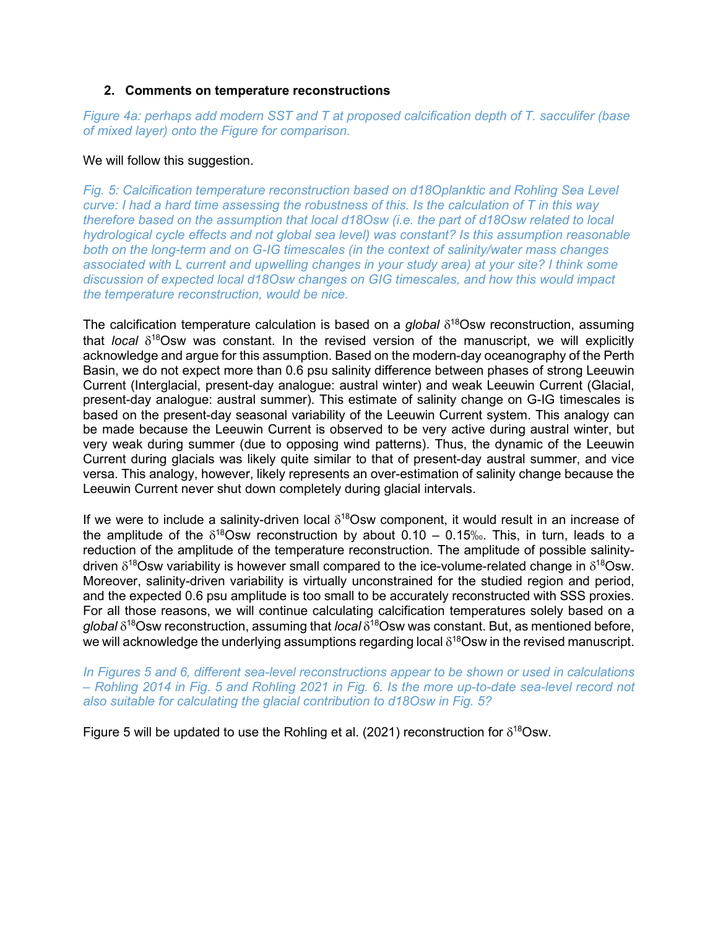## **2. Comments on temperature reconstructions**

*Figure 4a: perhaps add modern SST and T at proposed calcification depth of T. sacculifer (base of mixed layer) onto the Figure for comparison.*

#### We will follow this suggestion.

*Fig. 5: Calcification temperature reconstruction based on d18Oplanktic and Rohling Sea Level curve: I had a hard time assessing the robustness of this. Is the calculation of T in this way therefore based on the assumption that local d18Osw (i.e. the part of d18Osw related to local hydrological cycle effects and not global sea level) was constant? Is this assumption reasonable both on the long-term and on G-IG timescales (in the context of salinity/water mass changes associated with L current and upwelling changes in your study area) at your site? I think some discussion of expected local d18Osw changes on GIG timescales, and how this would impact the temperature reconstruction, would be nice.*

The calcification temperature calculation is based on a *global* δ<sup>18</sup>Osw reconstruction, assuming that *local* δ18Osw was constant. In the revised version of the manuscript, we will explicitly acknowledge and argue for this assumption. Based on the modern-day oceanography of the Perth Basin, we do not expect more than 0.6 psu salinity difference between phases of strong Leeuwin Current (Interglacial, present-day analogue: austral winter) and weak Leeuwin Current (Glacial, present-day analogue: austral summer). This estimate of salinity change on G-IG timescales is based on the present-day seasonal variability of the Leeuwin Current system. This analogy can be made because the Leeuwin Current is observed to be very active during austral winter, but very weak during summer (due to opposing wind patterns). Thus, the dynamic of the Leeuwin Current during glacials was likely quite similar to that of present-day austral summer, and vice versa. This analogy, however, likely represents an over-estimation of salinity change because the Leeuwin Current never shut down completely during glacial intervals.

If we were to include a salinity-driven local  $\delta^{18}$ Osw component, it would result in an increase of the amplitude of the  $\delta^{18}$ Osw reconstruction by about 0.10 – 0.15‰. This, in turn, leads to a reduction of the amplitude of the temperature reconstruction. The amplitude of possible salinitydriven  $\delta^{18}$ Osw variability is however small compared to the ice-volume-related change in  $\delta^{18}$ Osw. Moreover, salinity-driven variability is virtually unconstrained for the studied region and period, and the expected 0.6 psu amplitude is too small to be accurately reconstructed with SSS proxies. For all those reasons, we will continue calculating calcification temperatures solely based on a *global* δ18Osw reconstruction, assuming that *local* δ18Osw was constant. But, as mentioned before, we will acknowledge the underlying assumptions regarding local  $\delta^{18}$ Osw in the revised manuscript.

In Figures 5 and 6, different sea-level reconstructions appear to be shown or used in calculations *– Rohling 2014 in Fig. 5 and Rohling 2021 in Fig. 6. Is the more up-to-date sea-level record not also suitable for calculating the glacial contribution to d18Osw in Fig. 5?*

Figure 5 will be updated to use the Rohling et al. (2021) reconstruction for  $\delta^{18}$ Osw.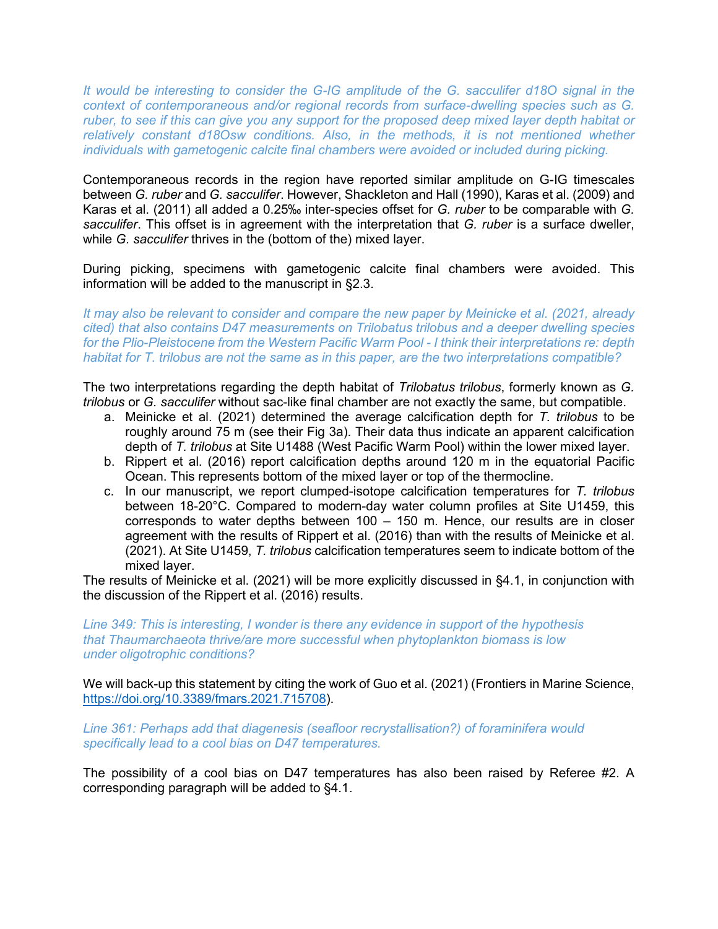*It would be interesting to consider the G-IG amplitude of the G. sacculifer d18O signal in the context of contemporaneous and/or regional records from surface-dwelling species such as G. ruber, to see if this can give you any support for the proposed deep mixed layer depth habitat or relatively constant d18Osw conditions. Also, in the methods, it is not mentioned whether individuals with gametogenic calcite final chambers were avoided or included during picking.*

Contemporaneous records in the region have reported similar amplitude on G-IG timescales between *G. ruber* and *G. sacculifer*. However, Shackleton and Hall (1990), Karas et al. (2009) and Karas et al. (2011) all added a 0.25‰ inter-species offset for *G. ruber* to be comparable with *G. sacculifer*. This offset is in agreement with the interpretation that *G. ruber* is a surface dweller, while *G. sacculifer* thrives in the (bottom of the) mixed layer.

During picking, specimens with gametogenic calcite final chambers were avoided. This information will be added to the manuscript in §2.3.

*It may also be relevant to consider and compare the new paper by Meinicke et al. (2021, already cited) that also contains D47 measurements on Trilobatus trilobus and a deeper dwelling species for the Plio-Pleistocene from the Western Pacific Warm Pool - I think their interpretations re: depth habitat for T. trilobus are not the same as in this paper, are the two interpretations compatible?*

The two interpretations regarding the depth habitat of *Trilobatus trilobus*, formerly known as *G. trilobus* or *G. sacculifer* without sac-like final chamber are not exactly the same, but compatible.

- a. Meinicke et al. (2021) determined the average calcification depth for *T. trilobus* to be roughly around 75 m (see their Fig 3a). Their data thus indicate an apparent calcification depth of *T. trilobus* at Site U1488 (West Pacific Warm Pool) within the lower mixed layer.
- b. Rippert et al. (2016) report calcification depths around 120 m in the equatorial Pacific Ocean. This represents bottom of the mixed layer or top of the thermocline.
- c. In our manuscript, we report clumped-isotope calcification temperatures for *T. trilobus* between 18-20°C. Compared to modern-day water column profiles at Site U1459, this corresponds to water depths between 100 – 150 m. Hence, our results are in closer agreement with the results of Rippert et al. (2016) than with the results of Meinicke et al. (2021). At Site U1459, *T. trilobus* calcification temperatures seem to indicate bottom of the mixed layer.

The results of Meinicke et al. (2021) will be more explicitly discussed in §4.1, in conjunction with the discussion of the Rippert et al. (2016) results.

*Line 349: This is interesting, I wonder is there any evidence in support of the hypothesis that Thaumarchaeota thrive/are more successful when phytoplankton biomass is low under oligotrophic conditions?*

We will back-up this statement by citing the work of Guo et al. (2021) (Frontiers in Marine Science, [https://doi.org/10.3389/fmars.2021.715708\)](https://doi.org/10.3389/fmars.2021.715708).

*Line 361: Perhaps add that diagenesis (seafloor recrystallisation?) of foraminifera would specifically lead to a cool bias on D47 temperatures.*

The possibility of a cool bias on D47 temperatures has also been raised by Referee #2. A corresponding paragraph will be added to §4.1.